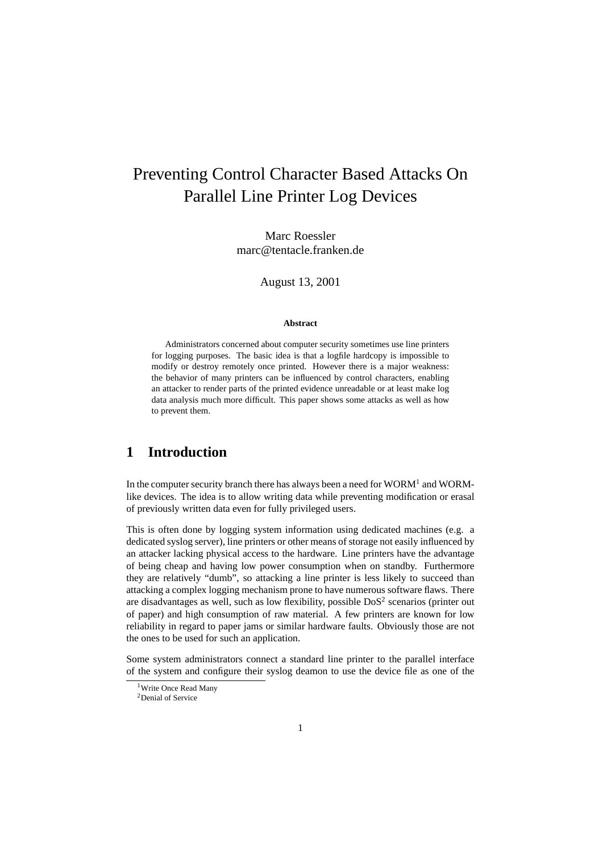# Preventing Control Character Based Attacks On Parallel Line Printer Log Devices

Marc Roessler marc@tentacle.franken.de

August 13, 2001

#### **Abstract**

Administrators concerned about computer security sometimes use line printers for logging purposes. The basic idea is that a logfile hardcopy is impossible to modify or destroy remotely once printed. However there is a major weakness: the behavior of many printers can be influenced by control characters, enabling an attacker to render parts of the printed evidence unreadable or at least make log data analysis much more difficult. This paper shows some attacks as well as how to prevent them.

## **1 Introduction**

In the computer security branch there has always been a need for  $WORM<sup>1</sup>$  and  $WORM<sup>1</sup>$ like devices. The idea is to allow writing data while preventing modification or erasal of previously written data even for fully privileged users.

This is often done by logging system information using dedicated machines (e.g. a dedicated syslog server), line printers or other means of storage not easily influenced by an attacker lacking physical access to the hardware. Line printers have the advantage of being cheap and having low power consumption when on standby. Furthermore they are relatively "dumb", so attacking a line printer is less likely to succeed than attacking a complex logging mechanism prone to have numerous software flaws. There are disadvantages as well, such as low flexibility, possible  $DoS<sup>2</sup>$  scenarios (printer out of paper) and high consumption of raw material. A few printers are known for low reliability in regard to paper jams or similar hardware faults. Obviously those are not the ones to be used for such an application.

Some system administrators connect a standard line printer to the parallel interface of the system and configure their syslog deamon to use the device file as one of the

<sup>&</sup>lt;sup>1</sup>Write Once Read Many

<sup>2</sup>Denial of Service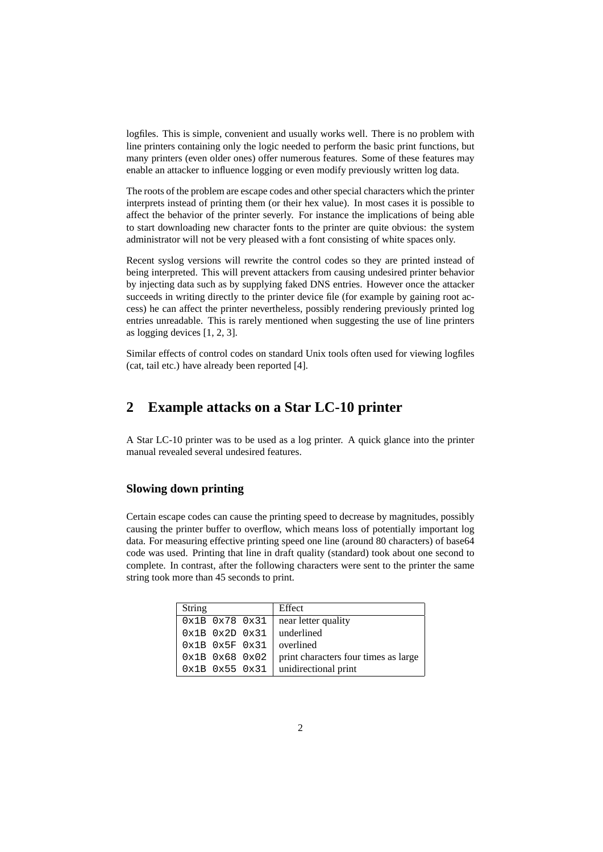logfiles. This is simple, convenient and usually works well. There is no problem with line printers containing only the logic needed to perform the basic print functions, but many printers (even older ones) offer numerous features. Some of these features may enable an attacker to influence logging or even modify previously written log data.

The roots of the problem are escape codes and other special characters which the printer interprets instead of printing them (or their hex value). In most cases it is possible to affect the behavior of the printer severly. For instance the implications of being able to start downloading new character fonts to the printer are quite obvious: the system administrator will not be very pleased with a font consisting of white spaces only.

Recent syslog versions will rewrite the control codes so they are printed instead of being interpreted. This will prevent attackers from causing undesired printer behavior by injecting data such as by supplying faked DNS entries. However once the attacker succeeds in writing directly to the printer device file (for example by gaining root access) he can affect the printer nevertheless, possibly rendering previously printed log entries unreadable. This is rarely mentioned when suggesting the use of line printers as logging devices [1, 2, 3].

Similar effects of control codes on standard Unix tools often used for viewing logfiles (cat, tail etc.) have already been reported [4].

# **2 Example attacks on a Star LC-10 printer**

A Star LC-10 printer was to be used as a log printer. A quick glance into the printer manual revealed several undesired features.

#### **Slowing down printing**

Certain escape codes can cause the printing speed to decrease by magnitudes, possibly causing the printer buffer to overflow, which means loss of potentially important log data. For measuring effective printing speed one line (around 80 characters) of base64 code was used. Printing that line in draft quality (standard) took about one second to complete. In contrast, after the following characters were sent to the printer the same string took more than 45 seconds to print.

| <b>String</b> |  | Effect                                                      |
|---------------|--|-------------------------------------------------------------|
|               |  | $0x1B$ $0x78$ $0x31$ near letter quality                    |
|               |  | $0x1B$ $0x2D$ $0x31$ underlined                             |
|               |  | $0x1B$ $0x5F$ $0x31$ overlined                              |
|               |  | $0x1B$ $0x68$ $0x02$   print characters four times as large |
|               |  | $0x1B$ $0x55$ $0x31$ unidirectional print                   |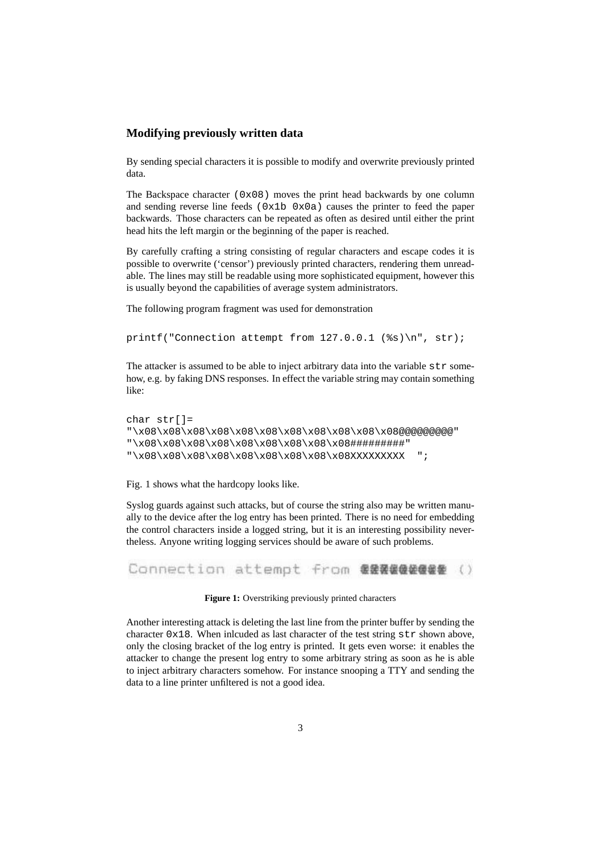#### **Modifying previously written data**

By sending special characters it is possible to modify and overwrite previously printed data.

The Backspace character  $(0x08)$  moves the print head backwards by one column and sending reverse line feeds ( $0x1b$   $0x0a$ ) causes the printer to feed the paper backwards. Those characters can be repeated as often as desired until either the print head hits the left margin or the beginning of the paper is reached.

By carefully crafting a string consisting of regular characters and escape codes it is possible to overwrite ('censor') previously printed characters, rendering them unreadable. The lines may still be readable using more sophisticated equipment, however this is usually beyond the capabilities of average system administrators.

The following program fragment was used for demonstration

```
printf("Connection attempt from 127.0.0.1 (%s)\n", str);
```
The attacker is assumed to be able to inject arbitrary data into the variable  $str$  somehow, e.g. by faking DNS responses. In effect the variable string may contain something like:

```
char str[]=
"\x08\x08\x08\x08\x08\x08\x08\x08\x08\x08\x08@@@@@@@@@"
"\x08\x08\x08\x08\x08\x08\x08\x08\x08#########"
"\x08\x08\x08\x08\x08\x08\x08\x08\x08XXXXXXXXX ";
```
Fig. 1 shows what the hardcopy looks like.

Syslog guards against such attacks, but of course the string also may be written manually to the device after the log entry has been printed. There is no need for embedding the control characters inside a logged string, but it is an interesting possibility nevertheless. Anyone writing logging services should be aware of such problems.

Connection attempt from 需要要值值值值是 ()

Figure 1: Overstriking previously printed characters

Another interesting attack is deleting the last line from the printer buffer by sending the character  $0x18$ . When inlcuded as last character of the test string  $str$  shown above, only the closing bracket of the log entry is printed. It gets even worse: it enables the attacker to change the present log entry to some arbitrary string as soon as he is able to inject arbitrary characters somehow. For instance snooping a TTY and sending the data to a line printer unfiltered is not a good idea.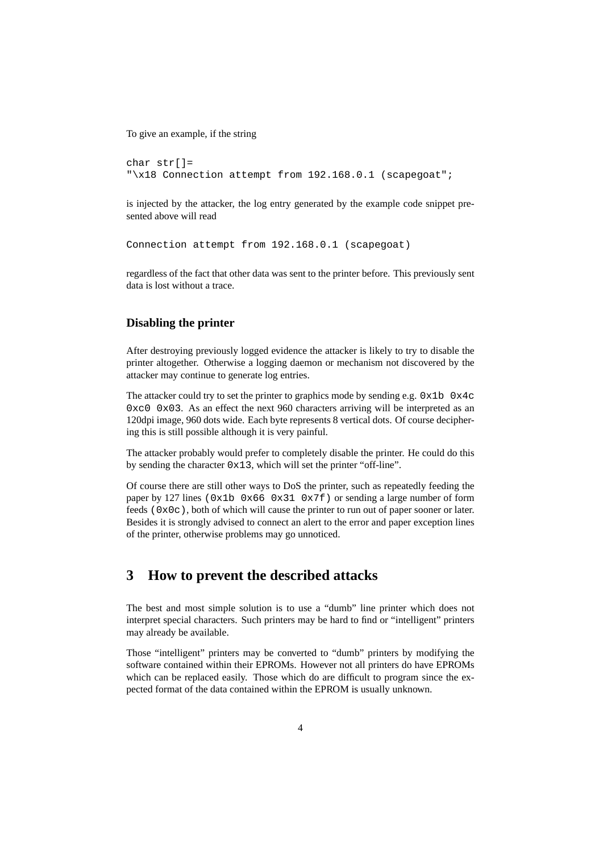To give an example, if the string

```
char str[]=
"\x18 Connection attempt from 192.168.0.1 (scapegoat";
```
is injected by the attacker, the log entry generated by the example code snippet presented above will read

Connection attempt from 192.168.0.1 (scapegoat)

regardless of the fact that other data was sent to the printer before. This previously sent data is lost without a trace.

#### **Disabling the printer**

After destroying previously logged evidence the attacker is likely to try to disable the printer altogether. Otherwise a logging daemon or mechanism not discovered by the attacker may continue to generate log entries.

The attacker could try to set the printer to graphics mode by sending e.g.  $0 \times 1$ b  $0 \times 4$ c  $0 \times 0$  0 $\times$ 03. As an effect the next 960 characters arriving will be interpreted as an 120dpi image, 960 dots wide. Each byte represents 8 vertical dots. Of course deciphering this is still possible although it is very painful.

The attacker probably would prefer to completely disable the printer. He could do this by sending the character 0x13, which will set the printer "off-line".

Of course there are still other ways to DoS the printer, such as repeatedly feeding the paper by 127 lines (0x1b 0x66 0x31 0x7f) or sending a large number of form feeds  $(0x0c)$ , both of which will cause the printer to run out of paper sooner or later. Besides it is strongly advised to connect an alert to the error and paper exception lines of the printer, otherwise problems may go unnoticed.

# **3 How to prevent the described attacks**

The best and most simple solution is to use a "dumb" line printer which does not interpret special characters. Such printers may be hard to find or "intelligent" printers may already be available.

Those "intelligent" printers may be converted to "dumb" printers by modifying the software contained within their EPROMs. However not all printers do have EPROMs which can be replaced easily. Those which do are difficult to program since the expected format of the data contained within the EPROM is usually unknown.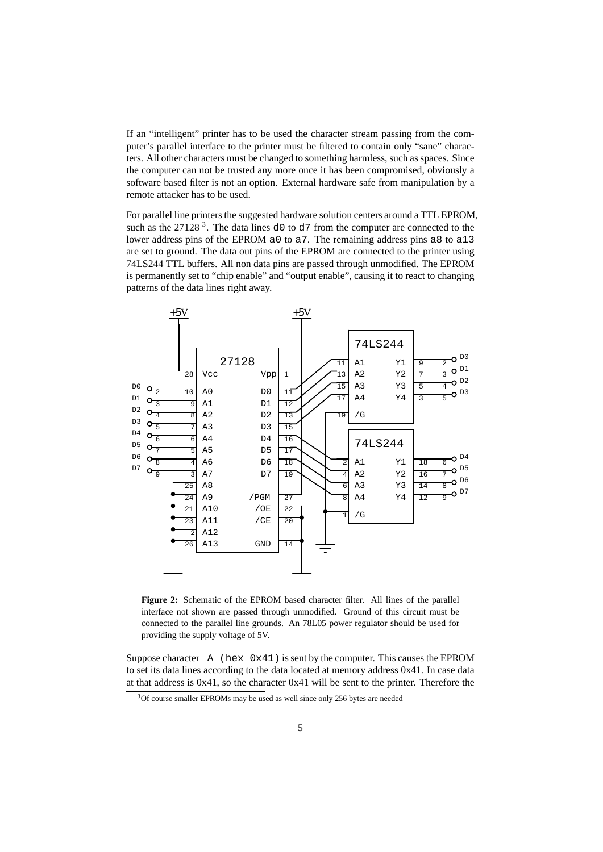If an "intelligent" printer has to be used the character stream passing from the computer's parallel interface to the printer must be filtered to contain only "sane" characters. All other characters must be changed to something harmless, such as spaces. Since the computer can not be trusted any more once it has been compromised, obviously a software based filter is not an option. External hardware safe from manipulation by a remote attacker has to be used.

For parallel line printers the suggested hardware solution centers around a TTL EPROM, such as the 27128<sup>3</sup>. The data lines  $d0$  to  $d7$  from the computer are connected to the lower address pins of the EPROM a0 to a7. The remaining address pins a8 to a13 are set to ground. The data out pins of the EPROM are connected to the printer using 74LS244 TTL buffers. All non data pins are passed through unmodified. The EPROM is permanently set to "chip enable" and "output enable", causing it to react to changing patterns of the data lines right away.



**Figure 2:** Schematic of the EPROM based character filter. All lines of the parallel interface not shown are passed through unmodified. Ground of this circuit must be connected to the parallel line grounds. An 78L05 power regulator should be used for providing the supply voltage of 5V.

Suppose character  $A$  (hex  $0x41$ ) is sent by the computer. This causes the EPROM to set its data lines according to the data located at memory address 0x41. In case data at that address is 0x41, so the character 0x41 will be sent to the printer. Therefore the

<sup>3</sup>Of course smaller EPROMs may be used as well since only 256 bytes are needed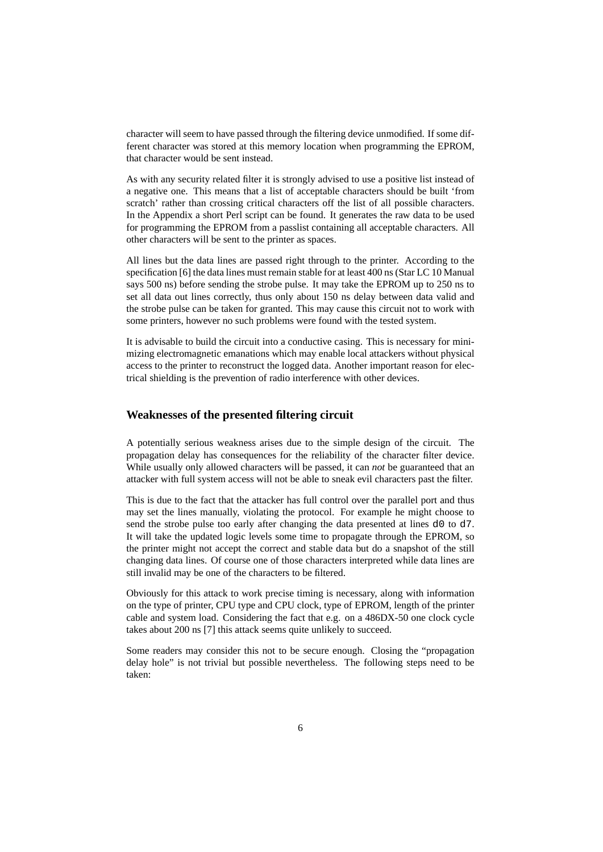character will seem to have passed through the filtering device unmodified. If some different character was stored at this memory location when programming the EPROM, that character would be sent instead.

As with any security related filter it is strongly advised to use a positive list instead of a negative one. This means that a list of acceptable characters should be built 'from scratch' rather than crossing critical characters off the list of all possible characters. In the Appendix a short Perl script can be found. It generates the raw data to be used for programming the EPROM from a passlist containing all acceptable characters. All other characters will be sent to the printer as spaces.

All lines but the data lines are passed right through to the printer. According to the specification [6] the data lines must remain stable for at least 400 ns (Star LC 10 Manual says 500 ns) before sending the strobe pulse. It may take the EPROM up to 250 ns to set all data out lines correctly, thus only about 150 ns delay between data valid and the strobe pulse can be taken for granted. This may cause this circuit not to work with some printers, however no such problems were found with the tested system.

It is advisable to build the circuit into a conductive casing. This is necessary for minimizing electromagnetic emanations which may enable local attackers without physical access to the printer to reconstruct the logged data. Another important reason for electrical shielding is the prevention of radio interference with other devices.

#### **Weaknesses of the presented filtering circuit**

A potentially serious weakness arises due to the simple design of the circuit. The propagation delay has consequences for the reliability of the character filter device. While usually only allowed characters will be passed, it can *not* be guaranteed that an attacker with full system access will not be able to sneak evil characters past the filter.

This is due to the fact that the attacker has full control over the parallel port and thus may set the lines manually, violating the protocol. For example he might choose to send the strobe pulse too early after changing the data presented at lines d0 to d7. It will take the updated logic levels some time to propagate through the EPROM, so the printer might not accept the correct and stable data but do a snapshot of the still changing data lines. Of course one of those characters interpreted while data lines are still invalid may be one of the characters to be filtered.

Obviously for this attack to work precise timing is necessary, along with information on the type of printer, CPU type and CPU clock, type of EPROM, length of the printer cable and system load. Considering the fact that e.g. on a 486DX-50 one clock cycle takes about 200 ns [7] this attack seems quite unlikely to succeed.

Some readers may consider this not to be secure enough. Closing the "propagation delay hole" is not trivial but possible nevertheless. The following steps need to be taken: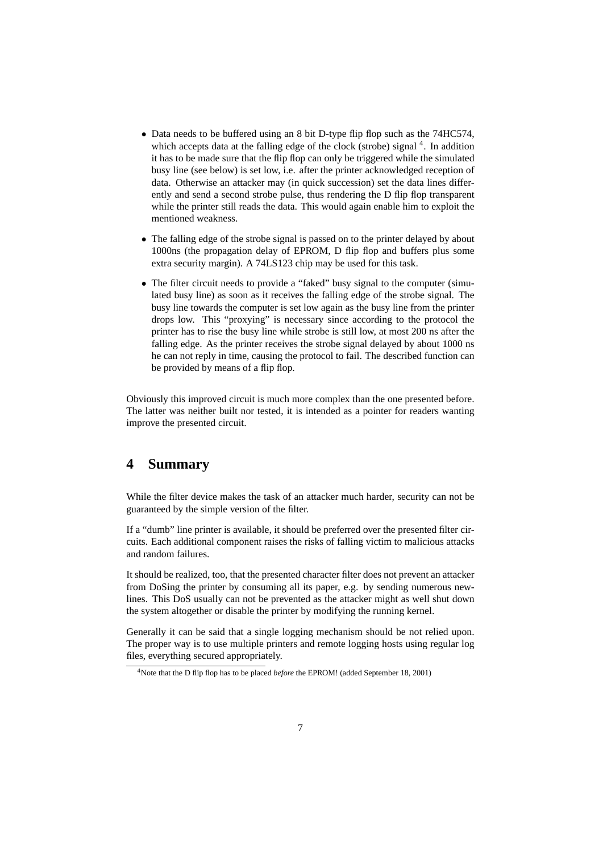- Data needs to be buffered using an 8 bit D-type flip flop such as the 74HC574, which accepts data at the falling edge of the clock (strobe) signal <sup>4</sup>. In addition it has to be made sure that the flip flop can only be triggered while the simulated busy line (see below) is set low, i.e. after the printer acknowledged reception of data. Otherwise an attacker may (in quick succession) set the data lines differently and send a second strobe pulse, thus rendering the D flip flop transparent while the printer still reads the data. This would again enable him to exploit the mentioned weakness.
- The falling edge of the strobe signal is passed on to the printer delayed by about 1000ns (the propagation delay of EPROM, D flip flop and buffers plus some extra security margin). A 74LS123 chip may be used for this task.
- The filter circuit needs to provide a "faked" busy signal to the computer (simulated busy line) as soon as it receives the falling edge of the strobe signal. The busy line towards the computer is set low again as the busy line from the printer drops low. This "proxying" is necessary since according to the protocol the printer has to rise the busy line while strobe is still low, at most 200 ns after the falling edge. As the printer receives the strobe signal delayed by about 1000 ns he can not reply in time, causing the protocol to fail. The described function can be provided by means of a flip flop.

Obviously this improved circuit is much more complex than the one presented before. The latter was neither built nor tested, it is intended as a pointer for readers wanting improve the presented circuit.

# **4 Summary**

While the filter device makes the task of an attacker much harder, security can not be guaranteed by the simple version of the filter.

If a "dumb" line printer is available, it should be preferred over the presented filter circuits. Each additional component raises the risks of falling victim to malicious attacks and random failures.

It should be realized, too, that the presented character filter does not prevent an attacker from DoSing the printer by consuming all its paper, e.g. by sending numerous newlines. This DoS usually can not be prevented as the attacker might as well shut down the system altogether or disable the printer by modifying the running kernel.

Generally it can be said that a single logging mechanism should be not relied upon. The proper way is to use multiple printers and remote logging hosts using regular log files, everything secured appropriately.

<sup>4</sup>Note that the D flip flop has to be placed *before* the EPROM! (added September 18, 2001)